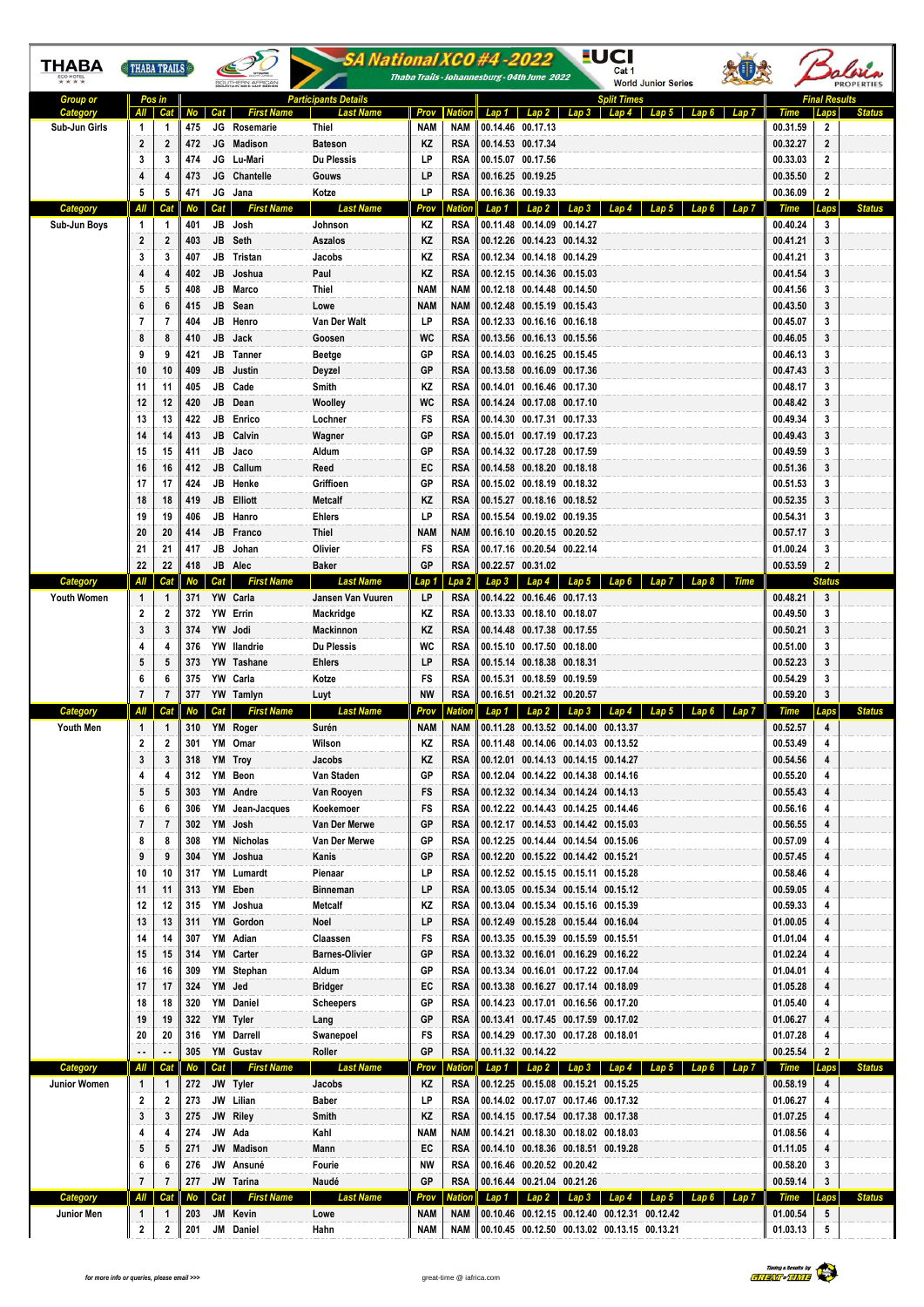| THABA                        | <b>THABA TRAILS</b> |                     |               | SOUTHERN AFRICAN                            | -SA National XCO #4-2022<br>Thaba Trails - Johannesburg - 04th June 2022 |                    |                      |                                                                                              |       |                      |                      |               |
|------------------------------|---------------------|---------------------|---------------|---------------------------------------------|--------------------------------------------------------------------------|--------------------|----------------------|----------------------------------------------------------------------------------------------|-------|----------------------|----------------------|---------------|
| <b>Group or</b>              |                     | Pos in              |               |                                             | <b>Participants Details</b>                                              |                    |                      | <b>Split Times</b>                                                                           |       |                      | <b>Final Results</b> |               |
| Category<br>Sub-Jun Girls    | All<br>-1           | 1                   | Cat No<br>475 | <b>First Name</b><br>Cat<br>JG<br>Rosemarie | Last Name<br>Thiel                                                       | Prov<br><b>NAM</b> | <b>Nation</b><br>NAM | $Lap3$ $Lap4$ $Lap5$<br>$Lap 1$ $Lap 2$<br>00.14.46 00.17.13                                 | Lap 7 | Time<br>00.31.59     | 2                    |               |
|                              | $\mathbf{2}$        | $\mathbf{2}$        | 472           | JG Madison                                  | <b>Bateson</b>                                                           | ΚZ                 | RSA                  | 00.14.53 00.17.34                                                                            |       | 00.32.27             | $\overline{2}$       |               |
|                              | 3                   | 3                   | 474           | JG Lu-Mari                                  | <b>Du Plessis</b>                                                        | LP                 | RSA                  | 00.15.07 00.17.56                                                                            |       | 00.33.03             | $\overline{2}$       |               |
|                              |                     | 4                   | 473           | JG Chantelle                                | Gouws                                                                    | LP                 | RSA                  | 00.16.25 00.19.25                                                                            |       | 00.35.50             | $\overline{2}$       |               |
|                              | 5                   | 5                   | 471           | JG Jana                                     | Kotze                                                                    | LP                 | RSA                  | 00.16.36 00.19.33                                                                            |       | 00.36.09             | $\mathbf{2}$         |               |
| <b>Category</b>              | All                 | Cat                 | No            | <b>First Name</b><br>Cat                    | <b>Last Name</b>                                                         | Prov               | latior               | Lap 3 Lap 4 Lap 5<br>$Lap 1$ $Lap 2$<br>Lap 6                                                | Lap 7 | Time                 | Laps                 | <b>Status</b> |
| Sub-Jun Boys                 | 1<br>$\overline{2}$ | 1<br>2              | 401           | JB Josh<br>JB Seth                          | Johnson<br>Aszalos                                                       | ΚZ<br>ΚZ           | RSA<br>RSA           | 00.11.48 00.14.09 00.14.27<br>00.12.26 00.14.23 00.14.32                                     |       | 00.40.24<br>00.41.21 | 3<br>3               |               |
|                              | 3                   | 3                   | 403<br>407    | JB Tristan                                  | Jacobs                                                                   | ΚZ                 | RSA                  | 00.12.34 00.14.18 00.14.29                                                                   |       | 00.41.21             | 3                    |               |
|                              | 4                   | 4                   | 402           | JB Joshua                                   | Paul                                                                     | ΚZ                 | <b>RSA</b>           | 00.12.15 00.14.36 00.15.03                                                                   |       | 00.41.54             | 3                    |               |
|                              | 5                   | 5                   | 408           | JB<br>Marco                                 | Thiel                                                                    | <b>NAM</b>         | NAM                  | 00.12.18 00.14.48 00.14.50                                                                   |       | 00.41.56             | 3                    |               |
|                              | 6                   | 6                   | 415           | JB Sean                                     | Lowe                                                                     | <b>NAM</b>         | NAM                  | 00.12.48 00.15.19 00.15.43                                                                   |       | 00.43.50             | 3                    |               |
|                              | $\overline{7}$      | 7                   | 404           | JB<br>Henro                                 | Van Der Walt                                                             | LP                 | RSA                  | 00.12.33 00.16.16 00.16.18                                                                   |       | 00.45.07             | 3                    |               |
|                              | 8                   | 8                   | 410           | JB Jack                                     | Goosen                                                                   | <b>WC</b>          | RSA                  | 00.13.56 00.16.13 00.15.56                                                                   |       | 00.46.05             | 3                    |               |
|                              | 9                   | 9                   | 421           | JB Tanner                                   | Beetge                                                                   | GP                 | RSA                  | 00.14.03 00.16.25 00.15.45                                                                   |       | 00.46.13             | 3                    |               |
|                              | 10                  | 10                  | 409           | JB<br>Justin                                | Deyzel                                                                   | GP                 | RSA                  | 00.13.58 00.16.09 00.17.36                                                                   |       | 00.47.43             | 3                    |               |
|                              | 11                  | 11                  | 405           | Cade<br>JB                                  | Smith                                                                    | ΚZ                 | RSA                  | 00.14.01 00.16.46 00.17.30                                                                   |       | 00.48.17             | 3                    |               |
|                              | 12<br>13            | 12<br>13            | 420<br>422    | JB Dean<br>JB Enrico                        | Woolley<br>Lochner                                                       | <b>WC</b><br>FS    | RSA<br>RSA           | 00.14.24 00.17.08 00.17.10<br>00.14.30 00.17.31 00.17.33                                     |       | 00.48.42             | 3<br>3               |               |
|                              | 14                  | 14                  | 413           | JB<br>Calvin                                | Wagner                                                                   | GP                 | RSA                  | 00.15.01 00.17.19 00.17.23                                                                   |       | 00.49.34<br>00.49.43 | 3                    |               |
|                              | 15                  | 15                  | 411           | Jaco<br>JB                                  | Aldum                                                                    | GP                 | RSA                  | 00.14.32 00.17.28 00.17.59                                                                   |       | 00.49.59             | 3                    |               |
|                              | 16                  | 16                  | 412           | JB Callum                                   | Reed                                                                     | EC                 | RSA                  | 00.14.58 00.18.20 00.18.18                                                                   |       | 00.51.36             | 3                    |               |
|                              | 17                  | 17                  | 424           | JB Henke                                    | Griffioen                                                                | GР                 | RSA                  | 00.15.02 00.18.19 00.18.32                                                                   |       | 00.51.53             | 3                    |               |
|                              | 18                  | 18                  | 419           | <b>JB</b> Elliott                           | Metcalf                                                                  | ΚZ                 | <b>RSA</b>           | 00.15.27 00.18.16 00.18.52                                                                   |       | 00.52.35             | 3                    |               |
|                              | 19                  | 19                  | 406           | JB Hanro                                    | <b>Ehlers</b>                                                            | LP                 | RSA                  | 00.15.54 00.19.02 00.19.35                                                                   |       | 00.54.31             | 3                    |               |
|                              | 20                  | 20                  | 414           | JB Franco                                   | Thiel                                                                    | NAM                | NAM                  | 00.16.10 00.20.15 00.20.52                                                                   |       | 00.57.17             | 3                    |               |
|                              | 21                  | 21                  | 417           | JB<br>Johan                                 | Olivier                                                                  | FS                 | RSA                  | 00.17.16 00.20.54 00.22.14                                                                   |       | 01.00.24             | 3                    |               |
| Category                     | 22                  | 22                  | 418           | JB<br>Alec                                  | <b>Baker</b>                                                             | GP                 | <b>RSA</b>           | 00.22.57 00.31.02                                                                            |       | 00.53.59             | $\mathbf{2}$         |               |
| <b>Youth Women</b>           | 1                   | Cat<br>1            | No<br>371     | <b>First Name</b><br>Cat<br>YW Carla        | <b>Last Name</b><br>Jansen Van Vuuren                                    | Lap 1<br>LP        | Lpa 2<br>RSA         | Lap 5 Lap 6 Lap 7<br>Lap 4<br>Lap3<br>Lap 8<br>00.14.22 00.16.46 00.17.13                    | Time  | 00.48.21             | <b>Status</b><br>3   |               |
|                              | $\boldsymbol{2}$    | 2                   | 372           | YW Errin                                    | Mackridge                                                                | ΚZ                 | RSA                  | 00.13.33 00.18.10 00.18.07                                                                   |       | 00.49.50             | 3                    |               |
|                              | 3                   | 3                   | 374           | YW Jodi                                     | Mackinnon                                                                | ΚZ                 | <b>RSA</b>           | 00.14.48 00.17.38 00.17.55                                                                   |       | 00.50.21             | 3                    |               |
|                              | 4                   | 4                   | 376           | YW Ilandrie                                 | <b>Du Plessis</b>                                                        | WC                 | RSA                  | 00.15.10 00.17.50 00.18.00                                                                   |       | 00.51.00             | 3                    |               |
|                              | 5                   | 5                   | 373           | YW Tashane                                  | <b>Ehlers</b>                                                            | LP                 | RSA                  | 00.15.14 00.18.38 00.18.31                                                                   |       | 00.52.23             | 3                    |               |
|                              | 6                   | 6                   | 375           | YW Carla                                    | Kotze                                                                    | FS                 | RSA                  | 00.15.31 00.18.59 00.19.59                                                                   |       | 00.54.29             | 3                    |               |
|                              | $\overline{7}$      | $\overline{7}$      | 377           | YW Tamlyn                                   | Luyt                                                                     | <b>NW</b>          | <b>RSA</b>           | 00.16.51 00.21.32 00.20.57                                                                   |       | 00.59.20             | 3                    |               |
| Category<br><b>Youth Men</b> | 1                   | Cat<br>1            |               | <b>First Name</b><br>Cat<br>310 YM Roger    | <b>Last Name</b><br>Surén                                                | Prov<br>NAM        | atiol<br>NAM         | Lap 3<br>Lap2<br>Lap 1<br>Lap 4<br>Lap 5<br>00.11.28 00.13.52 00.14.00 00.13.37              | Lap 7 | Time<br>00.52.57     | 4                    | <b>Status</b> |
|                              | 2                   | 2                   | 301           | YM Omar                                     | Wilson                                                                   | ΚZ                 | <b>RSA</b>           | 00.11.48 00.14.06 00.14.03 00.13.52                                                          |       | 00.53.49             |                      |               |
|                              | 3                   | 3                   | 318           | YM Troy                                     | Jacobs                                                                   | ΚZ                 | RSA                  | 00.12.01 00.14.13 00.14.15 00.14.27                                                          |       | 00.54.56             | 4                    |               |
|                              | 4                   | 4                   | 312           | YM Beon                                     | Van Staden                                                               | GР                 | RSA                  | 00.12.04 00.14.22 00.14.38 00.14.16                                                          |       | 00.55.20             | 4                    |               |
|                              | 5                   | 5                   | 303           | YM Andre                                    | Van Rooyen                                                               | FS                 | <b>RSA</b>           | 00.12.32 00.14.34 00.14.24 00.14.13                                                          |       | 00.55.43             | 4                    |               |
|                              | 6                   | 6                   | 306           | YM Jean-Jacques                             | Koekemoer                                                                | FS                 | RSA                  | 00.12.22 00.14.43 00.14.25 00.14.46                                                          |       | 00.56.16             | 4                    |               |
|                              | 7                   | 7                   | 302           | YM Josh                                     | Van Der Merwe                                                            | GР                 | <b>RSA</b>           | 00.12.17 00.14.53 00.14.42 00.15.03                                                          |       | 00.56.55             | 4                    |               |
|                              | 8                   | 8                   | 308           | YM Nicholas                                 | Van Der Merwe                                                            | GР                 | RSA                  | 00.12.25 00.14.44 00.14.54 00.15.06                                                          |       | 00.57.09             | 4                    |               |
|                              | 9                   | 9                   | 304           | YM Joshua                                   | Kanis                                                                    | GP                 | RSA                  | 00.12.20 00.15.22 00.14.42 00.15.21                                                          |       | 00.57.45             | 4                    |               |
|                              | 10<br>11            | 10<br>11            | 317<br>313    | YM Lumardt<br>YM Eben                       | Pienaar<br>Binneman                                                      | LP<br>LP           | RSA<br><b>RSA</b>    | 00.12.52 00.15.15 00.15.11 00.15.28<br>00.13.05 00.15.34 00.15.14 00.15.12                   |       | 00.58.46<br>00.59.05 | 4<br>4               |               |
|                              | 12                  | 12                  | 315           | YM Joshua                                   | Metcalf                                                                  | ΚZ                 | RSA                  | 00.13.04 00.15.34 00.15.16 00.15.39                                                          |       | 00.59.33             | 4                    |               |
|                              | 13                  | 13                  | 311           | YM Gordon                                   | Noel                                                                     | LP                 | <b>RSA</b>           | 00.12.49 00.15.28 00.15.44 00.16.04                                                          |       | 01.00.05             | 4                    |               |
|                              | 14                  | 14                  | 307           | YM Adian                                    | Claassen                                                                 | FS                 | RSA                  | 00.13.35 00.15.39 00.15.59 00.15.51                                                          |       | 01.01.04             | 4                    |               |
|                              | 15                  | 15                  | 314           | YM Carter                                   | <b>Barnes-Olivier</b>                                                    | GP                 | <b>RSA</b>           | 00.13.32 00.16.01 00.16.29 00.16.22                                                          |       | 01.02.24             | 4                    |               |
|                              | 16                  | 16                  | 309           | YM Stephan                                  | Aldum                                                                    | GР                 | RSA                  | 00.13.34 00.16.01 00.17.22 00.17.04                                                          |       | 01.04.01             | 4                    |               |
|                              | 17                  | 17                  | 324           | YM Jed                                      | Bridger                                                                  | EC                 | <b>RSA</b>           | 00.13.38 00.16.27 00.17.14 00.18.09                                                          |       | 01.05.28             | 4                    |               |
|                              | 18                  | 18                  | 320           | YM Daniel                                   | <b>Scheepers</b>                                                         | GР                 | RSA                  | 00.14.23 00.17.01 00.16.56 00.17.20                                                          |       | 01.05.40             | 4                    |               |
|                              | 19                  | 19                  | 322           | YM Tyler<br>YM Darrell                      | Lang<br>Swanepoel                                                        | GР                 | <b>RSA</b><br>RSA    | 00.13.41 00.17.45 00.17.59 00.17.02<br>00.14.29 00.17.30 00.17.28 00.18.01                   |       | 01.06.27<br>01.07.28 | 4<br>4               |               |
|                              |                     |                     |               |                                             |                                                                          | FS                 |                      |                                                                                              |       |                      |                      |               |
|                              | 20                  | 20                  | 316           |                                             |                                                                          |                    |                      |                                                                                              |       |                      |                      |               |
|                              | Αll                 |                     | 305<br>No I   | YM Gustav<br>Cat<br><b>First Name</b>       | Roller<br><b>Last Name</b>                                               | GP                 | RSA                  | 00.11.32 00.14.22                                                                            |       | 00.25.54             | $\mathbf{2}$<br>Laps | <b>Status</b> |
| Category<br>Junior Women     | 1                   | Cat<br>$\mathbf{1}$ | 272           | JW Tyler                                    | Jacobs                                                                   | Prov<br>ΚZ         | latior<br><b>RSA</b> | Lap 1   Lap 2   Lap 3   Lap 4   Lap 5   Lap 6   Lap 7<br>00.12.25 00.15.08 00.15.21 00.15.25 |       | Time<br>00.58.19     | 4                    |               |
|                              | 2                   | 2                   | 273           | JW Lilian                                   | Baber                                                                    | LP                 | RSA                  | 00.14.02 00.17.07 00.17.46 00.17.32                                                          |       | 01.06.27             | 4                    |               |
|                              | 3                   | 3                   | 275           | JW Riley                                    | Smith                                                                    | ΚZ                 | <b>RSA</b>           | 00.14.15 00.17.54 00.17.38 00.17.38                                                          |       | 01.07.25             | 4                    |               |
|                              | 4                   | 4                   | 274           | JW Ada                                      | Kahl                                                                     | NAM                | <b>NAM</b>           | 00.14.21 00.18.30 00.18.02 00.18.03                                                          |       | 01.08.56             | 4                    |               |
|                              | 5                   | 5                   | 271           | JW Madison                                  | Mann                                                                     | EC                 | <b>RSA</b>           | 00.14.10 00.18.36 00.18.51 00.19.28                                                          |       | 01.11.05             | 4                    |               |
|                              | 6                   | 6                   | 276           | JW Ansuné                                   | Fourie                                                                   | NW                 | RSA                  | 00.16.46 00.20.52 00.20.42                                                                   |       | 00.58.20             | 3                    |               |
|                              | $\overline{7}$      | 7                   | 277           | JW Tarina                                   | Naudé                                                                    | GР                 | <b>RSA</b>           | 00.16.44 00.21.04 00.21.26                                                                   |       | 00.59.14             | $\mathbf{3}$         |               |
| Category<br>Junior Men       | 1                   | Cat<br>1            | No<br>203     | <u>First Name</u><br>Cat  <br>JM Kevin      | <b>Last Name</b><br>Lowe                                                 | Prov<br><b>NAM</b> | latior<br><b>NAM</b> | Lap 1 Lap 2 Lap 3 Lap 4 Lap 5 Lap 6<br>00.10.46 00.12.15 00.12.40 00.12.31 00.12.42          |       | Time<br>01.00.54     | Laps<br>5            | <b>Status</b> |

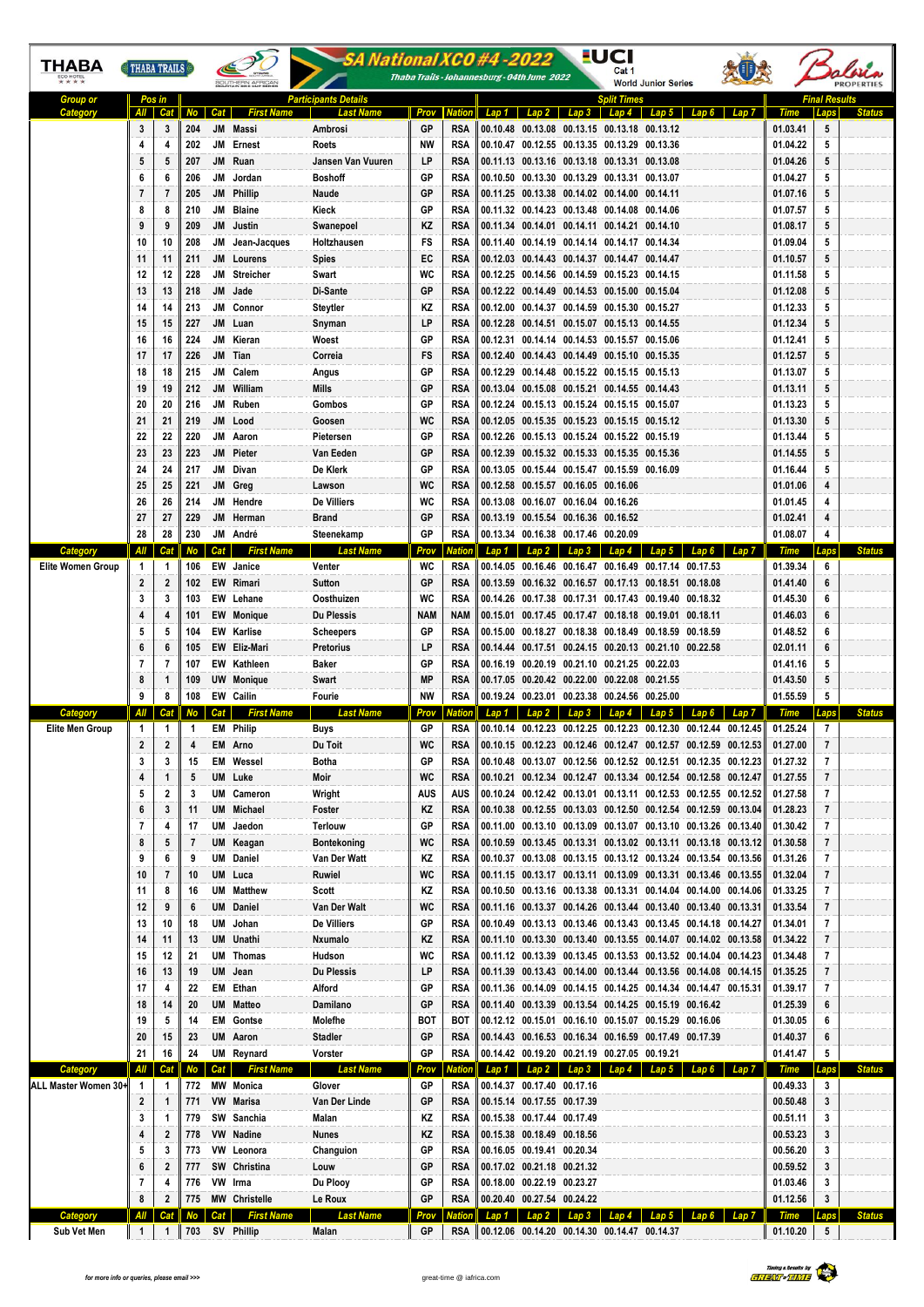| ТНАВА                            | THABA TRAILS   |          | SOUTHERN AF! |                 |                                        | SA National XCO #4 -2022<br>Thaba Trails - Johannesburg - 04th June 2022 |                  |               |       | <u>-</u> UCI<br>Cat 1<br><b>World Junior Series</b>                                                                 |                    |       |                                                                                                                                  |                      |                          |               |  |
|----------------------------------|----------------|----------|--------------|-----------------|----------------------------------------|--------------------------------------------------------------------------|------------------|---------------|-------|---------------------------------------------------------------------------------------------------------------------|--------------------|-------|----------------------------------------------------------------------------------------------------------------------------------|----------------------|--------------------------|---------------|--|
| <b>Group or</b>                  |                | Pos in   |              |                 |                                        | Participants Details                                                     |                  |               |       |                                                                                                                     | <b>Split Times</b> |       |                                                                                                                                  |                      | <b>Final Results</b>     |               |  |
| Categor                          | All I          | Cat      | No           | <b>Cat</b>      | <b>First Name</b>                      | Last I                                                                   | Prov             | lation        |       | Lap 1 Lap 2 Lap 3 Lap 4 Lap 5                                                                                       |                    |       | Lap 7<br>Lap 6                                                                                                                   | Time                 |                          |               |  |
|                                  | 3<br>4         | 3<br>4   | 204<br>202   | <b>JM</b>       | Massi<br>JM Ernest                     | Ambrosi<br>Roets                                                         | GP<br>NW         | RSA<br>RSA    |       | 00.10.48 00.13.08 00.13.15 00.13.18 00.13.12<br>00.10.47 00.12.55 00.13.35 00.13.29 00.13.36                        |                    |       |                                                                                                                                  | 01.03.41<br>01.04.22 | 5<br>5                   |               |  |
|                                  | 5              | 5        | 207          |                 | JM Ruan                                | Jansen Van Vuuren                                                        | LP               | RSA           |       | 00.11.13 00.13.16 00.13.18 00.13.31 00.13.08                                                                        |                    |       |                                                                                                                                  | 01.04.26             | 5                        |               |  |
|                                  | 6              | 6        | 206          | JM              | Jordan                                 | <b>Boshoff</b>                                                           | GP               | RSA           |       | 00.10.50 00.13.30 00.13.29 00.13.31 00.13.07                                                                        |                    |       |                                                                                                                                  | 01.04.27             | 5                        |               |  |
|                                  | 7              | 7        | 205          |                 | JM Phillip                             | Naude                                                                    | GP               | RSA           |       | 00.11.25 00.13.38 00.14.02 00.14.00 00.14.11                                                                        |                    |       |                                                                                                                                  | 01.07.16             | 5                        |               |  |
|                                  | 8              | 8        | 210          |                 | JM Blaine                              | Kieck                                                                    | GP               | RSA           |       | 00.11.32 00.14.23 00.13.48 00.14.08 00.14.06                                                                        |                    |       |                                                                                                                                  | 01.07.57             | 5                        |               |  |
|                                  | 9              | 9        | 209          | JM              | Justin                                 | Swanepoel                                                                | ΚZ               | RSA           |       | 00.11.34 00.14.01 00.14.11 00.14.21 00.14.10                                                                        |                    |       |                                                                                                                                  | 01.08.17             | 5                        |               |  |
|                                  | 10<br>11       | 10<br>11 | 208<br>211   | JM              | Jean-Jacques<br>JM Lourens             | Holtzhausen                                                              | FS<br>EC         | RSA<br>RSA    |       | 00.11.40 00.14.19 00.14.14 00.14.17 00.14.34<br>00.12.03 00.14.43 00.14.37 00.14.47 00.14.47                        |                    |       |                                                                                                                                  | 01.09.04<br>01.10.57 | 5<br>5                   |               |  |
|                                  | 12             | 12       | 228          |                 | <b>JM</b> Streicher                    | <b>Spies</b><br>Swart                                                    | WC               | RSA           |       | 00.12.25 00.14.56 00.14.59 00.15.23 00.14.15                                                                        |                    |       |                                                                                                                                  | 01.11.58             | 5                        |               |  |
|                                  | 13             | 13       | 218          | JM              | Jade                                   | Di-Sante                                                                 | GP               | RSA           |       | 00.12.22 00.14.49 00.14.53 00.15.00 00.15.04                                                                        |                    |       |                                                                                                                                  | 01.12.08             | 5                        |               |  |
|                                  | 14             | 14       | 213          | JM              | Connor                                 | Steytler                                                                 | ΚZ               | RSA           |       | 00.12.00 00.14.37 00.14.59 00.15.30 00.15.27                                                                        |                    |       |                                                                                                                                  | 01.12.33             | 5                        |               |  |
|                                  | 15             | 15       | 227          | JM              | Luan                                   | Snyman                                                                   | LP               | RSA           |       | 00.12.28 00.14.51 00.15.07 00.15.13 00.14.55                                                                        |                    |       |                                                                                                                                  | 01.12.34             | 5                        |               |  |
|                                  | 16             | 16       | 224          |                 | JM Kieran                              | Woest                                                                    | GP               | RSA           |       | 00.12.31 00.14.14 00.14.53 00.15.57 00.15.06                                                                        |                    |       |                                                                                                                                  | 01.12.41             | 5                        |               |  |
|                                  | 17             | 17       | 226          |                 | JM Tian                                | Correia                                                                  | FS               | RSA           |       | 00.12.40 00.14.43 00.14.49 00.15.10 00.15.35                                                                        |                    |       |                                                                                                                                  | 01.12.57             | 5                        |               |  |
|                                  | 18<br>19       | 18<br>19 | 215<br>212   | JM<br><b>JM</b> | Calem<br>William                       | Angus<br>Mills                                                           | GP<br>GP         | RSA<br>RSA    |       | 00.12.29 00.14.48 00.15.22 00.15.15 00.15.13<br>00.13.04 00.15.08 00.15.21 00.14.55 00.14.43                        |                    |       |                                                                                                                                  | 01.13.07<br>01.13.11 | 5<br>5                   |               |  |
|                                  | 20             | 20       | 216          |                 | JM Ruben                               | Gombos                                                                   | GP               | RSA           |       | 00.12.24 00.15.13 00.15.24 00.15.15 00.15.07                                                                        |                    |       |                                                                                                                                  | 01.13.23             | 5                        |               |  |
|                                  | 21             | 21       | 219          |                 | JM Lood                                | Goosen                                                                   | WC               | RSA           |       | 00.12.05 00.15.35 00.15.23 00.15.15 00.15.12                                                                        |                    |       |                                                                                                                                  | 01.13.30             | 5                        |               |  |
|                                  | 22             | 22       | 220          | JM              | Aaron                                  | Pietersen                                                                | GP               | RSA           |       | 00.12.26 00.15.13 00.15.24 00.15.22 00.15.19                                                                        |                    |       |                                                                                                                                  | 01.13.44             | 5                        |               |  |
|                                  | 23             | 23       | 223          | JM              | Pieter                                 | Van Eeden                                                                | GP               | RSA           |       | 00.12.39 00.15.32 00.15.33 00.15.35 00.15.36                                                                        |                    |       |                                                                                                                                  | 01.14.55             | 5                        |               |  |
|                                  | 24             | 24       | 217          |                 | JM Divan                               | De Klerk                                                                 | GР               | RSA           |       | 00.13.05 00.15.44 00.15.47 00.15.59 00.16.09                                                                        |                    |       |                                                                                                                                  | 01.16.44             | 5                        |               |  |
|                                  | 25<br>26       | 25<br>26 | 221<br>214   |                 | JM Greg<br>JM Hendre                   | Lawson<br>De Villiers                                                    | WC<br>WC         | RSA<br>RSA    |       | 00.12.58 00.15.57 00.16.05 00.16.06<br>00.13.08 00.16.07 00.16.04 00.16.26                                          |                    |       |                                                                                                                                  | 01.01.06<br>01.01.45 | 4<br>4                   |               |  |
|                                  | 27             | 27       | 229          |                 | JM Herman                              | Brand                                                                    | GP               | RSA           |       | 00.13.19 00.15.54 00.16.36 00.16.52                                                                                 |                    |       |                                                                                                                                  | 01.02.41             | 4                        |               |  |
|                                  | 28             | 28       | 230          |                 | JM André                               | Steenekamp                                                               | GP               | RSA           |       | 00.13.34 00.16.38 00.17.46 00.20.09                                                                                 |                    |       |                                                                                                                                  | 01.08.07             | 4                        |               |  |
| Category                         | All            | Cat      | No           | Cat             | <b>First Name</b>                      | <b>Last Name</b>                                                         | Prov             | ation         | Lap 1 | Lap 2<br>Lap3                                                                                                       | Lap 4              | Lap 5 |                                                                                                                                  | Time                 | Lans                     | <b>Status</b> |  |
| <b>Elite Women Group</b>         | 1              | -1       | 106          |                 | <b>EW</b> Janice                       | Venter                                                                   | WC               | RSA           |       | 00.14.05 00.16.46 00.16.47 00.16.49 00.17.14 00.17.53                                                               |                    |       |                                                                                                                                  | 01.39.34             | 6                        |               |  |
|                                  | 2              | 2        | 102          |                 | EW Rimari                              | Sutton                                                                   | GP               | RSA           |       | 00.13.59 00.16.32 00.16.57 00.17.13 00.18.51 00.18.08                                                               |                    |       |                                                                                                                                  | 01.41.40             | 6                        |               |  |
|                                  | 3              | 3        | 103          |                 | EW Lehane                              | Oosthuizen                                                               | WC               | RSA           |       | 00.14.26 00.17.38 00.17.31 00.17.43 00.19.40 00.18.32                                                               |                    |       |                                                                                                                                  | 01.45.30             | 6                        |               |  |
|                                  | 4<br>5         | 4<br>5   | 101<br>104   |                 | <b>EW</b> Monique<br><b>EW</b> Karlise | Du Plessis<br><b>Scheepers</b>                                           | <b>NAM</b><br>GР | NAM<br>RSA    |       | 00.15.01  00.17.45  00.17.47  00.18.18  00.19.01  00.18.11<br>00.15.00 00.18.27 00.18.38 00.18.49 00.18.59 00.18.59 |                    |       |                                                                                                                                  | 01.46.03<br>01.48.52 | 6<br>6                   |               |  |
|                                  | 6              | 6        | 105          |                 | EW Eliz-Mari                           | Pretorius                                                                | LP               | RSA           |       | 00.14.44 00.17.51 00.24.15 00.20.13 00.21.10 00.22.58                                                               |                    |       |                                                                                                                                  | 02.01.11             | 6                        |               |  |
|                                  | 7              | 7        | 107          |                 | <b>EW</b> Kathleen                     | Baker                                                                    | GР               | RSA           |       | 00.16.19 00.20.19 00.21.10 00.21.25 00.22.03                                                                        |                    |       |                                                                                                                                  | 01.41.16             | 5                        |               |  |
|                                  | 8              | 1        | 109          |                 | <b>UW</b> Monique                      | Swart                                                                    | МP               | RSA           |       | 00.17.05 00.20.42 00.22.00 00.22.08 00.21.55                                                                        |                    |       |                                                                                                                                  | 01.43.50             | 5                        |               |  |
|                                  | 9              | 8        | 108          |                 | <b>EW Cailin</b>                       | Fourie                                                                   | NW               | RSA           |       | 00.19.24 00.23.01 00.23.38 00.24.56 00.25.00                                                                        |                    |       |                                                                                                                                  | 01.55.59             | 5                        |               |  |
| Category<br>Elite Men Group      | 1              | Ca<br>1  | -1           | Cat             | <b>First Name</b><br><b>EM</b> Philip  | Last Namı<br>Buys                                                        | Prov<br>GP       | latior<br>RSA | Lap 1 | Lap 2<br>Lap 3                                                                                                      | Lap 4              | Lap 5 | Lan 6<br>Lan 7<br>00.10.14 00.12.23 00.12.25 00.12.23 00.12.30 00.12.44 00.12.45                                                 | Time<br>01.25.24     | Lans<br>7                | <b>Status</b> |  |
|                                  | 2              | 2        | 4            |                 | EM Arno                                | Du Toit                                                                  | WC               | RSA           |       |                                                                                                                     |                    |       | 00.10.15        00.12.23        00.12.46        00.12.47        00.12.57        00.12.59        00.12.53                         | 01.27.00             |                          |               |  |
|                                  | 3              | 3        | 15           |                 | <b>EM</b> Wessel                       | Botha                                                                    | GР               | RSA           |       |                                                                                                                     |                    |       | 00.10.48 00.13.07 00.12.56 00.12.52 00.12.51 00.12.35 00.12.23                                                                   | 01.27.32             | 7                        |               |  |
|                                  | 4              | 1        | 5            |                 | <b>UM</b> Luke                         | Moir                                                                     | WC               | RSA           |       |                                                                                                                     |                    |       | 00.10.21 00.12.34 00.12.47 00.13.34 00.12.54 00.12.58 00.12.47                                                                   | 01.27.55             | $\overline{7}$           |               |  |
|                                  | 5              | 2        | 3            |                 | <b>UM</b> Cameron                      | Wright                                                                   | aus              | AUS           |       |                                                                                                                     |                    |       | 00.10.24 00.12.42 00.13.01 00.13.11 00.12.53 00.12.55 00.12.52                                                                   | 01.27.58             | 7                        |               |  |
|                                  | 6              | 3        | 11           |                 | <b>UM</b> Michael                      | Foster                                                                   | ΚZ               | RSA           |       |                                                                                                                     |                    |       | 00.10.38 00.12.55 00.13.03 00.12.50 00.12.54 00.12.59 00.13.04                                                                   | 01.28.23             | $\overline{7}$           |               |  |
|                                  | 7              | 4        | 17           |                 | <b>UM</b> Jaedon                       | Terlouw                                                                  | GР               | RSA           |       |                                                                                                                     |                    |       | 00.11.00 00.13.10 00.13.09 00.13.07 00.13.10 00.13.26 00.13.40                                                                   | 01.30.42             | 7                        |               |  |
|                                  | 8<br>9         | 5<br>6   | 7<br>9       |                 | UM Keagan<br><b>UM</b> Daniel          | Bontekoning<br>Van Der Watt                                              | WC<br>ΚZ         | RSA<br>RSA    |       |                                                                                                                     |                    |       | 00.10.59 00.13.45 00.13.31 00.13.02 00.13.11 00.13.18 00.13.12<br>00.10.37 00.13.08 00.13.15 00.13.12 00.13.24 00.13.54 00.13.56 | 01.30.58<br>01.31.26 | $\overline{7}$<br>7      |               |  |
|                                  | 10             | 7        | 10           |                 | <b>UM</b> Luca                         | Ruwiel                                                                   | WC               | RSA           |       |                                                                                                                     |                    |       | 00.11.15 00.13.17 00.13.11 00.13.09 00.13.31 00.13.46 00.13.55                                                                   | 01.32.04             | 7                        |               |  |
|                                  | 11             | 8        | 16           |                 | <b>UM</b> Matthew                      | Scott                                                                    | ΚZ               | RSA           |       |                                                                                                                     |                    |       | 00.10.50 00.13.16 00.13.38 00.13.31 00.14.04 00.14.00 00.14.06                                                                   | 01.33.25             | 7                        |               |  |
|                                  | 12             | 9        | 6            |                 | <b>UM</b> Daniel                       | Van Der Walt                                                             | WC               | RSA           |       |                                                                                                                     |                    |       | 00.11.16 00.13.37 00.14.26 00.13.44 00.13.40 00.13.40 00.13.31                                                                   | 01.33.54             | $\overline{7}$           |               |  |
|                                  | 13             | 10       | 18           |                 | UM Johan                               | De Villiers                                                              | GP               | RSA           |       |                                                                                                                     |                    |       | 00.10.49 00.13.13 00.13.46 00.13.43 00.13.45 00.14.18 00.14.27                                                                   | 01.34.01             | $\overline{7}$           |               |  |
|                                  | 14<br>15       | 11<br>12 | 13<br>21     |                 | <b>UM</b> Unathi<br><b>UM</b> Thomas   | Nxumalo<br>Hudson                                                        | ΚZ<br>WC         | RSA<br>RSA    |       |                                                                                                                     |                    |       | 00.11.10 00.13.30 00.13.40 00.13.55 00.14.07 00.14.02 00.13.58<br>00.11.12 00.13.39 00.13.45 00.13.53 00.13.52 00.14.04 00.14.23 | 01.34.22<br>01.34.48 | 7<br>7                   |               |  |
|                                  | 16             | 13       | 19           |                 | UM Jean                                | Du Plessis                                                               | LP               | RSA           |       |                                                                                                                     |                    |       | 00.11.39 00.13.43 00.14.00 00.13.44 00.13.56 00.14.08 00.14.15                                                                   | 01.35.25             | $\overline{\phantom{a}}$ |               |  |
|                                  | 17             | 4        | 22           |                 | EM Ethan                               | Alford                                                                   | GP               | RSA           |       |                                                                                                                     |                    |       | 00.11.36 00.14.09 00.14.15 00.14.25 00.14.34 00.14.47 00.15.31                                                                   | 01.39.17             | 7                        |               |  |
|                                  | 18             | 14       | 20           |                 | <b>UM</b> Matteo                       | Damilano                                                                 | GP               | RSA           |       | 00.11.40 00.13.39 00.13.54 00.14.25 00.15.19 00.16.42                                                               |                    |       |                                                                                                                                  | 01.25.39             | 6                        |               |  |
|                                  | 19             | 5        | 14           |                 | <b>EM</b> Gontse                       | Molefhe                                                                  | BOT              | вот           |       | 00.12.12 00.15.01 00.16.10 00.15.07 00.15.29 00.16.06                                                               |                    |       |                                                                                                                                  | 01.30.05             | 6                        |               |  |
|                                  | 20             | 15       | 23           |                 | <b>UM</b> Aaron                        | Stadler                                                                  | GР               | RSA           |       | 00.14.43 00.16.53 00.16.34 00.16.59 00.17.49 00.17.39                                                               |                    |       |                                                                                                                                  | 01.40.37             | 6                        |               |  |
|                                  | 21<br>All      | 16       | 24           |                 | <b>UM</b> Reynard                      | Vorster                                                                  | GР               | RSA           |       | 00.14.42 00.19.20 00.21.19 00.27.05 00.19.21                                                                        |                    |       |                                                                                                                                  | 01.41.47             | 5                        | <b>Status</b> |  |
| Category<br>ALL Master Women 30+ | $\mathbf{1}$   | Cat<br>1 | No<br>772    | Cat             | <b>First Name</b><br><b>MW</b> Monica  | <b>Last Name</b><br>Glover                                               | Prov<br>GР       | lation<br>RSA |       | Lap 1   Lap 2   Lap 3   Lap 4   Lap 5  <br>00.14.37 00.17.40 00.17.16                                               |                    |       | Lap 6<br>Lap 7                                                                                                                   | Time<br>00.49.33     | Laps<br>3                |               |  |
|                                  | 2              | 1        | 771          |                 | VW Marisa                              | Van Der Linde                                                            | GP               | RSA           |       | 00.15.14 00.17.55 00.17.39                                                                                          |                    |       |                                                                                                                                  | 00.50.48             | 3                        |               |  |
|                                  | 3              | 1        | 779          |                 | SW Sanchia                             | Malan                                                                    | ΚZ               | RSA           |       | 00.15.38 00.17.44 00.17.49                                                                                          |                    |       |                                                                                                                                  | 00.51.11             | 3                        |               |  |
|                                  | 4              | 2        | 778          |                 | VW Nadine                              | Nunes                                                                    | ΚZ               | RSA           |       | 00.15.38 00.18.49 00.18.56                                                                                          |                    |       |                                                                                                                                  | 00.53.23             | 3                        |               |  |
|                                  | 5              | 3        | 773          |                 | VW Leonora                             | Changuion                                                                | GР               | RSA           |       | 00.16.05 00.19.41 00.20.34                                                                                          |                    |       |                                                                                                                                  | 00.56.20             | 3                        |               |  |
|                                  | 6              | 2        | 777          |                 | SW Christina                           | Louw                                                                     | GP               | RSA           |       | 00.17.02 00.21.18 00.21.32                                                                                          |                    |       |                                                                                                                                  | 00.59.52             | 3                        |               |  |
|                                  | 7<br>8         | 4<br>2   | 776<br>775   |                 | VW Irma<br><b>MW</b> Christelle        | Du Plooy<br>Le Roux                                                      | GР<br>GР         | RSA<br>RSA    |       | 00.18.00 00.22.19 00.23.27<br>00.20.40 00.27.54 00.24.22                                                            |                    |       |                                                                                                                                  | 01.03.46<br>01.12.56 | 3<br>3                   |               |  |
| Category                         | All            | Cat      | No           | <b>Cat</b>      | <b>First Name</b>                      | <b>Last Name</b>                                                         | Prov             | Vation        | Lap 1 | Lap 2   Lap 3   Lap 4   Lap 5                                                                                       |                    |       | Lap 7                                                                                                                            | Time                 | Laps                     | <b>Status</b> |  |
| Sub Vet Men                      | $\overline{1}$ | 1        |              |                 | 703 SV Phillip                         | Malan                                                                    | GР               | RSA           |       | 00.12.06 00.14.20 00.14.30 00.14.47 00.14.37                                                                        |                    |       |                                                                                                                                  | 01.10.20             | 5                        |               |  |